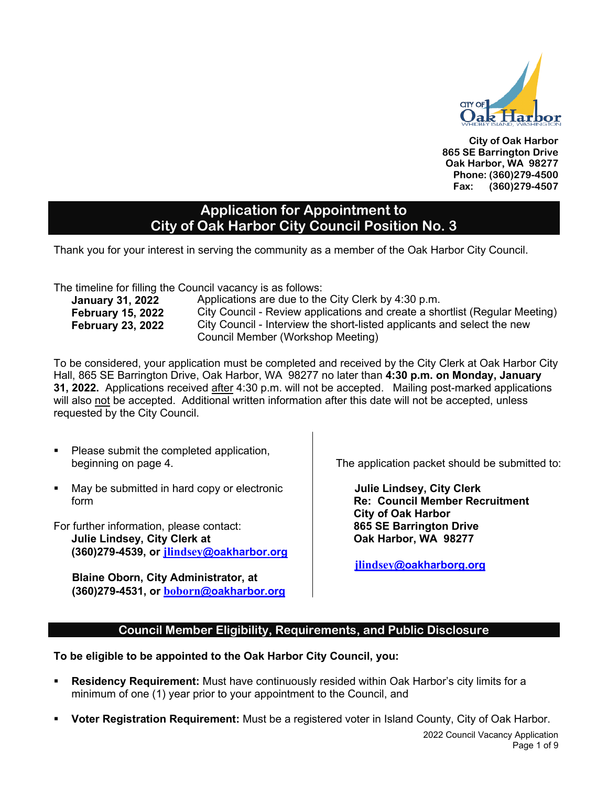

**City of Oak Harbor 865 SE Barrington Drive Oak Harbor, WA 98277 Phone: (360)279-4500 Fax: (360)279-4507**

### **Application for Appointment to City of Oak Harbor City Council Position No. 3**

Thank you for your interest in serving the community as a member of the Oak Harbor City Council.

The timeline for filling the Council vacancy is as follows:

| <b>January 31, 2022</b>  |  |
|--------------------------|--|
| <b>February 15, 2022</b> |  |
| <b>February 23, 2022</b> |  |
|                          |  |

Applications are due to the City Clerk by 4:30 p.m. **February 15, 2022** City Council - Review applications and create a shortlist (Regular Meeting) City Council - Interview the short-listed applicants and select the new Council Member (Workshop Meeting)

To be considered, your application must be completed and received by the City Clerk at Oak Harbor City Hall, 865 SE Barrington Drive, Oak Harbor, WA 98277 no later than **4:30 p.m. on Monday, January 31, 2022.** Applications received after 4:30 p.m. will not be accepted. Mailing post-marked applications will also not be accepted. Additional written information after this date will not be accepted, unless requested by the City Council.

- Please submit the completed application, beginning on page 4.
- May be submitted in hard copy or electronic form
- For further information, please contact: **Julie Lindsey, City Clerk at (360)279-4539, or [jlindsey](mailto:jlindsey@oakharbor.org)[@oakharbor.org](mailto:jlindsey@oakharbor.org)**

 **Blaine Oborn, City Administrator, at (360)279-4531, or [boborn](mailto:boborn@oakharbor.org)[@oakharbor.org](mailto:boborn@oakharbor.org)** The application packet should be submitted to:

**Julie Lindsey, City Clerk Re: Council Member Recruitment City of Oak Harbor 865 SE Barrington Drive Oak Harbor, WA 98277**

 **[jlindsey](mailto:jlindsey@oakharborg.org)[@oakharborg.org](mailto:jlindsey@oakharborg.org)**

### **Council Member Eligibility, Requirements, and Public Disclosure**

**To be eligible to be appointed to the Oak Harbor City Council, you:**

- **Residency Requirement:** Must have continuously resided within Oak Harbor's city limits for a minimum of one (1) year prior to your appointment to the Council, and
- **Voter Registration Requirement:** Must be a registered voter in Island County, City of Oak Harbor.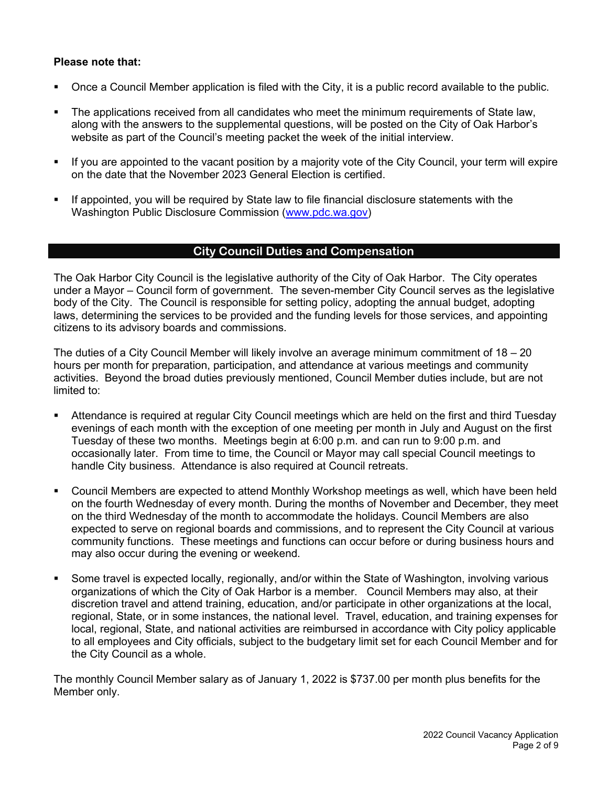#### **Please note that:**

- Once a Council Member application is filed with the City, it is a public record available to the public.
- The applications received from all candidates who meet the minimum requirements of State law, along with the answers to the supplemental questions, will be posted on the City of Oak Harbor's website as part of the Council's meeting packet the week of the initial interview.
- If you are appointed to the vacant position by a majority vote of the City Council, your term will expire on the date that the November 2023 General Election is certified.
- If appointed, you will be required by State law to file financial disclosure statements with the Washington Public Disclosure Commission [\(www.pdc.wa.gov\)](http://www.pdc.wa.gov/)

#### **City Council Duties and Compensation**

The Oak Harbor City Council is the legislative authority of the City of Oak Harbor. The City operates under a Mayor – Council form of government. The seven-member City Council serves as the legislative body of the City. The Council is responsible for setting policy, adopting the annual budget, adopting laws, determining the services to be provided and the funding levels for those services, and appointing citizens to its advisory boards and commissions.

The duties of a City Council Member will likely involve an average minimum commitment of 18 – 20 hours per month for preparation, participation, and attendance at various meetings and community activities. Beyond the broad duties previously mentioned, Council Member duties include, but are not limited to:

- Attendance is required at regular City Council meetings which are held on the first and third Tuesday evenings of each month with the exception of one meeting per month in July and August on the first Tuesday of these two months. Meetings begin at 6:00 p.m. and can run to 9:00 p.m. and occasionally later. From time to time, the Council or Mayor may call special Council meetings to handle City business. Attendance is also required at Council retreats.
- Council Members are expected to attend Monthly Workshop meetings as well, which have been held on the fourth Wednesday of every month. During the months of November and December, they meet on the third Wednesday of the month to accommodate the holidays. Council Members are also expected to serve on regional boards and commissions, and to represent the City Council at various community functions. These meetings and functions can occur before or during business hours and may also occur during the evening or weekend.
- Some travel is expected locally, regionally, and/or within the State of Washington, involving various organizations of which the City of Oak Harbor is a member. Council Members may also, at their discretion travel and attend training, education, and/or participate in other organizations at the local, regional, State, or in some instances, the national level. Travel, education, and training expenses for local, regional, State, and national activities are reimbursed in accordance with City policy applicable to all employees and City officials, subject to the budgetary limit set for each Council Member and for the City Council as a whole.

The monthly Council Member salary as of January 1, 2022 is \$737.00 per month plus benefits for the Member only.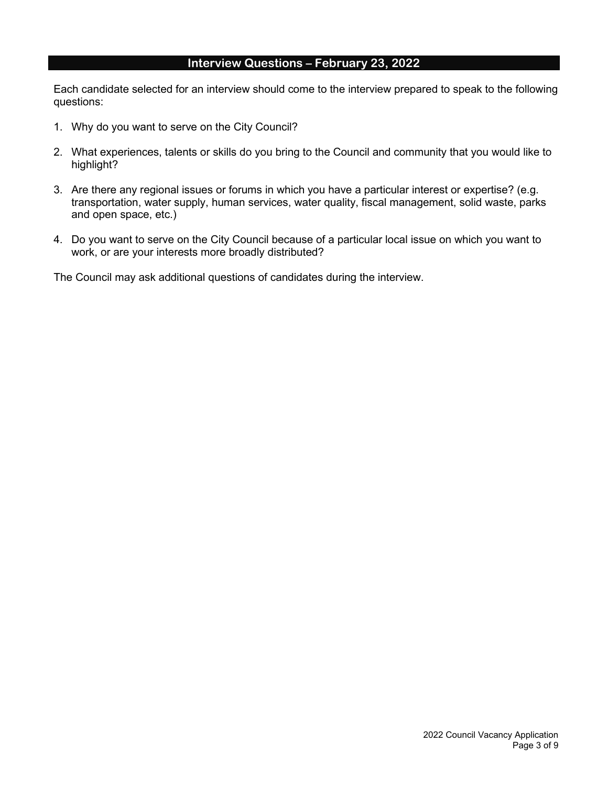### **Interview Questions – February 23, 2022**

Each candidate selected for an interview should come to the interview prepared to speak to the following questions:

- 1. Why do you want to serve on the City Council?
- 2. What experiences, talents or skills do you bring to the Council and community that you would like to highlight?
- 3. Are there any regional issues or forums in which you have a particular interest or expertise? (e.g. transportation, water supply, human services, water quality, fiscal management, solid waste, parks and open space, etc.)
- 4. Do you want to serve on the City Council because of a particular local issue on which you want to work, or are your interests more broadly distributed?

The Council may ask additional questions of candidates during the interview.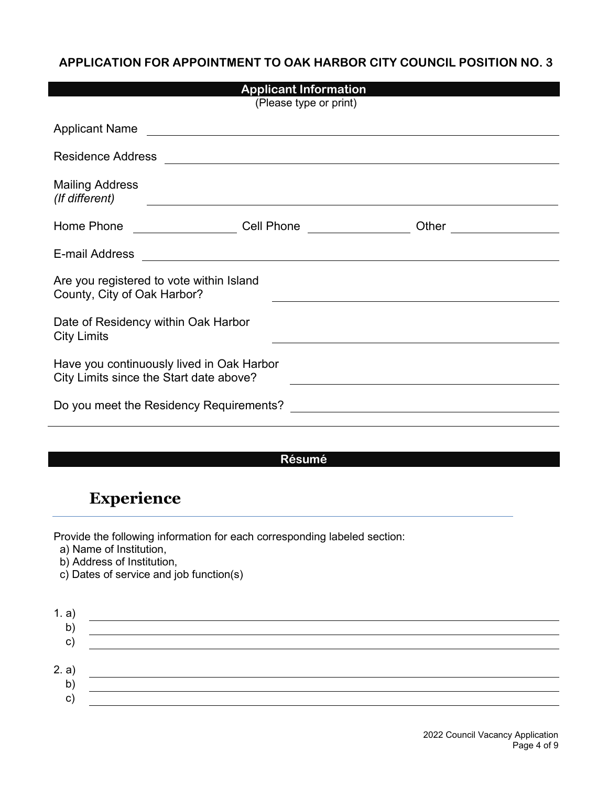### **APPLICATION FOR APPOINTMENT TO OAK HARBOR CITY COUNCIL POSITION NO. 3**

| <b>Applicant Information</b>                                                                                                                                                                                                         |                                                             |  |  |  |
|--------------------------------------------------------------------------------------------------------------------------------------------------------------------------------------------------------------------------------------|-------------------------------------------------------------|--|--|--|
|                                                                                                                                                                                                                                      | (Please type or print)                                      |  |  |  |
| Applicant Name <b>Contract Contract Contract Contract Contract Contract Contract Contract Contract Contract Contract Contract Contract Contract Contract Contract Contract Contract Contract Contract Contract Contract Contract</b> |                                                             |  |  |  |
| <b>Residence Address</b>                                                                                                                                                                                                             | <u> 1980 - Jan Alexandri, fizikar matematika (h. 1980).</u> |  |  |  |
| <b>Mailing Address</b><br>(If different)                                                                                                                                                                                             |                                                             |  |  |  |
| Home Phone<br><u>and the state of the state</u>                                                                                                                                                                                      | Cell Phone <u>___________</u>                               |  |  |  |
| E-mail Address                                                                                                                                                                                                                       |                                                             |  |  |  |
| Are you registered to vote within Island<br>County, City of Oak Harbor?                                                                                                                                                              |                                                             |  |  |  |
| Date of Residency within Oak Harbor<br><b>City Limits</b>                                                                                                                                                                            |                                                             |  |  |  |
| Have you continuously lived in Oak Harbor<br>City Limits since the Start date above?                                                                                                                                                 |                                                             |  |  |  |
| Do you meet the Residency Requirements?                                                                                                                                                                                              |                                                             |  |  |  |

### **Résumé**

## **Experience**

Provide the following information for each corresponding labeled section:

a) Name of Institution,

b) Address of Institution,

c) Dates of service and job function(s)

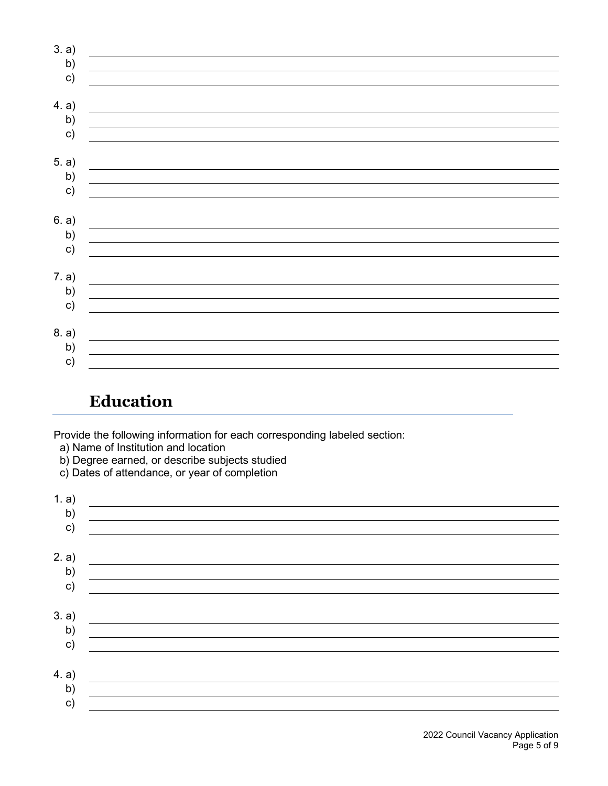| 3. a)         |  |
|---------------|--|
| b)            |  |
| $\mathbf{c})$ |  |
|               |  |
| 4. a)         |  |
| b)            |  |
| $\mathsf{c})$ |  |
|               |  |
| 5. a)         |  |
| b)            |  |
| c)            |  |
|               |  |
| 6. a)         |  |
| b)            |  |
| $\mathsf{c})$ |  |
|               |  |
| 7. a)         |  |
| b)            |  |
| $\mathbf{c})$ |  |
|               |  |
| 8. a)         |  |
| b)            |  |
| c)            |  |

## **Education**

Provide the following information for each corresponding labeled section:

a) Name of Institution and location

b) Degree earned, or describe subjects studied

c) Dates of attendance, or year of completion

| 1. a)         |  |
|---------------|--|
| $\mathsf{b}$  |  |
| $\mathsf{c})$ |  |
|               |  |
| 2. a)         |  |
| b)            |  |
| c)            |  |
|               |  |
| 3. a)         |  |
| b)            |  |
| $\mathsf{c})$ |  |
|               |  |
| 4. a)         |  |
| $\mathsf{b}$  |  |
| $\mathsf{c})$ |  |
|               |  |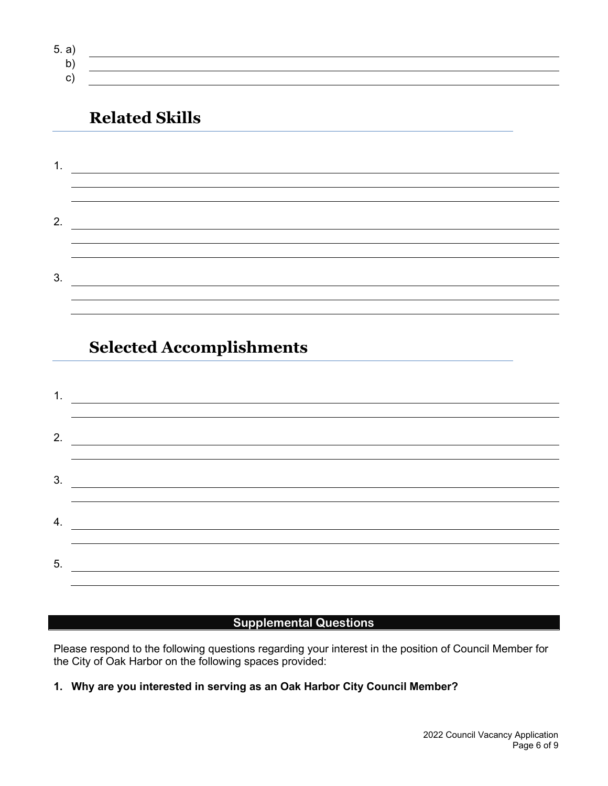- 5. a) b)
	- c)

# **Related Skills**

| 2. |  |
|----|--|
|    |  |
| 3. |  |
|    |  |

<u> 1989 - Johann Stoff, deutscher Stoffen und der Stoffen und der Stoffen und der Stoffen und der Stoffen und der</u>

# **Selected Accomplishments**



### **Supplemental Questions**

Please respond to the following questions regarding your interest in the position of Council Member for the City of Oak Harbor on the following spaces provided:

### **1. Why are you interested in serving as an Oak Harbor City Council Member?**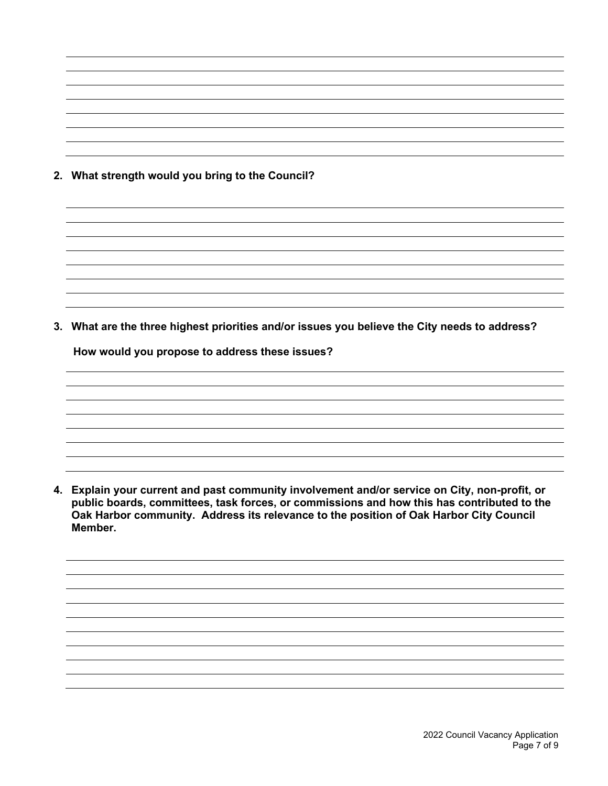**2. What strength would you bring to the Council?**

**3. What are the three highest priorities and/or issues you believe the City needs to address?**

**How would you propose to address these issues?**

**4. Explain your current and past community involvement and/or service on City, non-profit, or public boards, committees, task forces, or commissions and how this has contributed to the Oak Harbor community. Address its relevance to the position of Oak Harbor City Council Member.**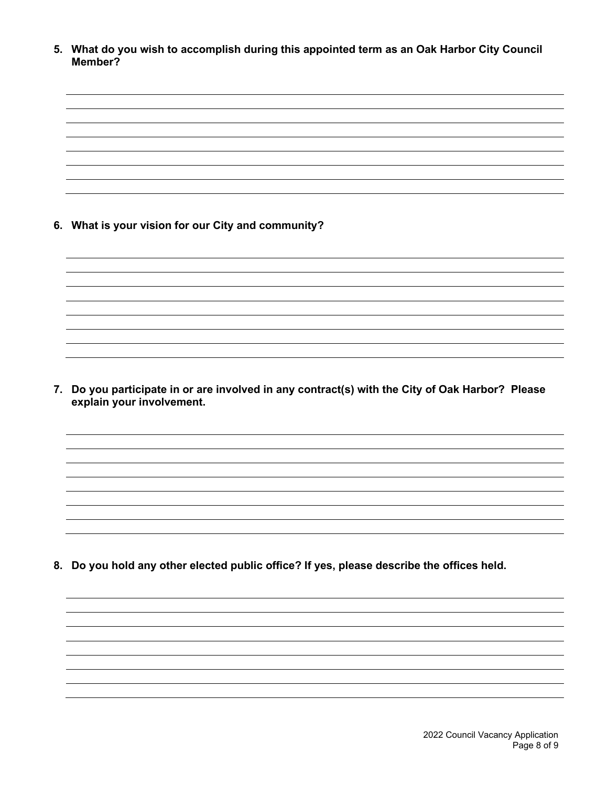**5. What do you wish to accomplish during this appointed term as an Oak Harbor City Council Member?**

**6. What is your vision for our City and community?**

**7. Do you participate in or are involved in any contract(s) with the City of Oak Harbor? Please explain your involvement.**

**8. Do you hold any other elected public office? If yes, please describe the offices held.**